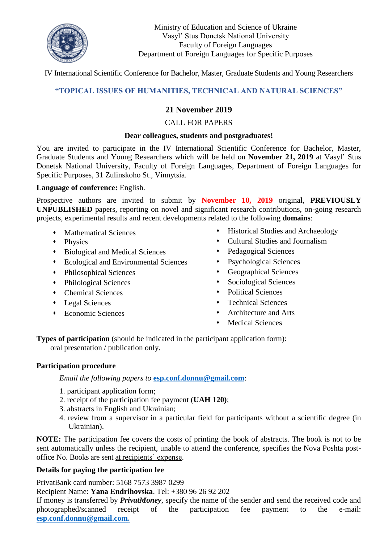

Ministry of Education and Science of Ukraine Vasyl' Stus Donetsk National University Faculty of Foreign Languages Department of Foreign Languages for Specific Purposes

IV International Scientific Conference for Bachelor, Master, Graduate Students and Young Researchers

# **"TOPICAL ISSUES OF HUMANITIES, TECHNICAL AND NATURAL SCIENCES"**

# **21 November 2019**

## CALL FOR PAPERS

#### **Dear colleagues, students and postgraduates!**

You are invited to participate in the IV International Scientific Conference for Bachelor, Master, Graduate Students and Young Researchers which will be held on **November 21, 2019** at Vasyl' Stus Donetsk National University, Faculty of Foreign Languages, Department of Foreign Languages for Specific Purposes, 31 Zulinskoho St., Vinnytsia.

#### **Language of conference:** English.

Prospective authors are invited to submit by **November 10, 2019** original, **PREVIOUSLY UNPUBLISHED** papers, reporting on novel and significant research contributions, on-going research projects, experimental results and recent developments related to the following **domains**:

- Mathematical Sciences
- Physics
- Biological and Medical Sciences
- Ecological and Environmental Sciences
- Philosophical Sciences
- Philological Sciences
- Chemical Sciences
- Legal Sciences
- Economic Sciences
- Historical Studies and Archaeology
- Cultural Studies and Journalism
- Pedagogical Sciences
- Psychological Sciences
- Geographical Sciences
- Sociological Sciences
- Political Sciences
- Technical Sciences
- Architecture and Arts
- Medical Sciences

**Types of participation** (should be indicated in the participant application form): oral presentation / publication only.

#### **Participation procedure**

*Email the following papers to* **[esp.conf.donnu@gmail.com](mailto:esp.conf2017@gmail.com)**:

- 1. participant application form;
- 2. receipt of the participation fee payment (**UAH 120)**;
- 3. abstracts in English and Ukrainian;
- 4. review from a supervisor in a particular field for participants without a scientific degree (in Ukrainian).

**NOTE:** The participation fee covers the costs of printing the book of abstracts. The book is not to be sent automatically unless the recipient, unable to attend the conference, specifies the Nova Poshta postoffice No. Books are sent at recipients' expense.

## **Details for paying the participation fee**

PrivatBank card number: 5168 7573 3987 0299

Recipient Name: **Yana Endrihovska**. Tel: +380 96 26 92 202

If money is transferred by *PrivatMoney*, specify the name of the sender and send the received code and photographed/scanned receipt of the participation fee payment to the e-mail: **[esp.conf.donnu@gmail.com.](mailto:esp.conf2017@gmail.com)**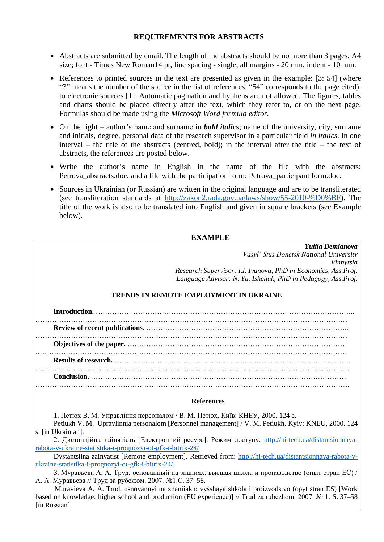### **REQUIREMENTS FOR ABSTRACTS**

- Abstracts are submitted by email. The length of the abstracts should be no more than 3 pages, A4 size; font - Times New Roman14 pt, line spacing - single, all margins - 20 mm, indent - 10 mm.
- References to printed sources in the text are presented as given in the example: [3: 54] (where "3" means the number of the source in the list of references, "54" corresponds to the page cited), to electronic sources [1]. Automatic pagination and hyphens are not allowed. The figures, tables and charts should be placed directly after the text, which they refer to, or on the next page. Formulas should be made using the *Microsoft Word formula editor.*
- On the right author's name and surname in *bold italics*; name of the university, city, surname and initials, degree, personal data of the research supervisor in a particular field *in italics*. In one interval – the title of the abstracts (centred, bold); in the interval after the title – the text of abstracts, the references are posted below.
- Write the author's name in English in the name of the file with the abstracts: Petrova abstracts.doc, and a file with the participation form: Petrova participant form.doc.
- Sources in Ukrainian (or Russian) are written in the original language and are to be transliterated (see transliteration standards at [http://zakon2.rada.gov.ua/laws/show/55-2010-%D0%BF\)](http://zakon2.rada.gov.ua/laws/show/55-2010-%D0%BF). The title of the work is also to be translated into English and given in square brackets (see Example below).

### **EXAMPLE**

|                                               | Yuliia Demianova                                               |
|-----------------------------------------------|----------------------------------------------------------------|
|                                               | Vasyl' Stus Donetsk National University                        |
|                                               | Vinnytsia                                                      |
|                                               | Research Supervisor: I.I. Ivanova, PhD in Economics, Ass.Prof. |
|                                               | Language Advisor: N. Yu. Ishchuk, PhD in Pedagogy, Ass.Prof.   |
| <b>TRENDS IN REMOTE EMPLOYMENT IN UKRAINE</b> |                                                                |
|                                               |                                                                |
|                                               |                                                                |
|                                               |                                                                |
|                                               |                                                                |
| Conclusion.                                   |                                                                |
|                                               |                                                                |

#### **References**

1. Петюх В. М. Управління персоналом / В. М. Петюх. Київ: КНЕУ, 2000. 124 с.

Petiukh V. M. Upravlinnia personalom [Personnel management] / V. M. Petiukh. Kyiv: KNEU, 2000. 124 s. [in Ukrainian].

2. Дистанційна зайнятість [Електронний ресурс]. Режим доступу: [http://hi-tech.ua/distantsionnaya](http://hi-tech.ua/distantsionnaya-rabota-v-ukraine-statistika-i-prognozyi-ot-gfk-i-bitrix-24/)[rabota-v-ukraine-statistika-i-prognozyi-ot-gfk-i-bitrix-24/](http://hi-tech.ua/distantsionnaya-rabota-v-ukraine-statistika-i-prognozyi-ot-gfk-i-bitrix-24/)

Dystantsiina zainyatist [Remote employment]. Retrieved from: [http://hi-tech.ua/distantsionnaya-rabota-v](http://hi-tech.ua/distantsionnaya-rabota-v-ukraine-statistika-i-prognozyi-ot-gfk-i-bitrix-24/)[ukraine-statistika-i-prognozyi-ot-gfk-i-bitrix-24/](http://hi-tech.ua/distantsionnaya-rabota-v-ukraine-statistika-i-prognozyi-ot-gfk-i-bitrix-24/)

3. Муравьева А. А. Труд, основанный на знаниях: высшая школа и производство (опыт стран ЕС) / А. А. Муравьева // Труд за рубежом. 2007. №1.С. 37–58.

Muravieva A. A. Trud, osnovannyi na znaniiakh: vysshaya shkola i proizvodstvo (opyt stran ES) [Work based on knowledge: higher school and production (EU experience)] // Trud za rubezhom. 2007. № 1. S. 37–58 [in Russian].